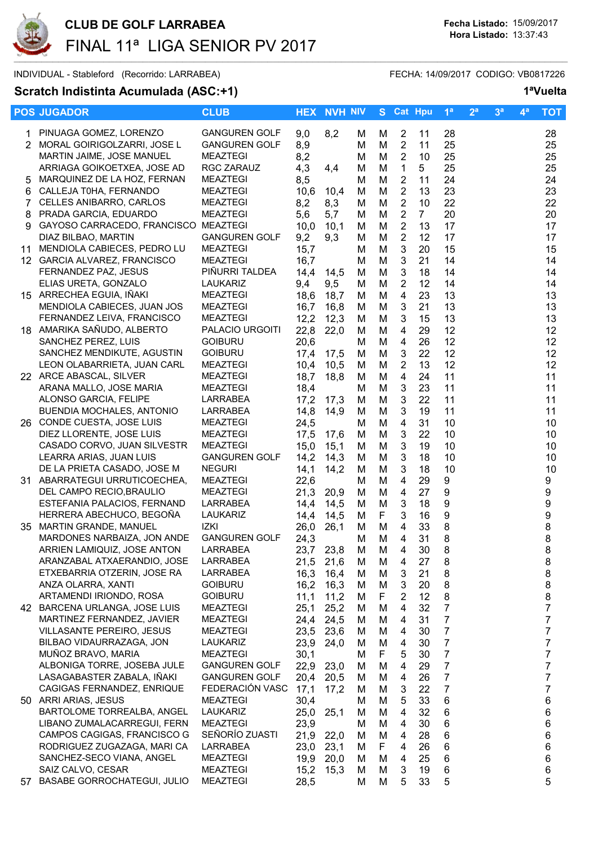

INDIVIDUAL - Stableford (Recorrido: LARRABEA) FECHA: 14/09/2017 CODIGO: VB0817226

## Scratch Indistinta Acumulada (ASC:+1) 1<sup>a</sup>Vuelta

|    | <b>POS JUGADOR</b>                                         | <b>CLUB</b>                       |                   | <b>HEX NVH NIV</b> |        |        | S Cat Hpu                      |                | 1 <sup>a</sup> | 2 <sup>a</sup> | 3 <sup>a</sup> | 4 <sup>a</sup> | <b>TOT</b>     |
|----|------------------------------------------------------------|-----------------------------------|-------------------|--------------------|--------|--------|--------------------------------|----------------|----------------|----------------|----------------|----------------|----------------|
|    | 1 PINUAGA GOMEZ, LORENZO                                   | <b>GANGUREN GOLF</b>              | 9,0               | 8,2                | м      | м      | 2                              | 11             | 28             |                |                |                | 28             |
|    | 2 MORAL GOIRIGOLZARRI, JOSE L                              | <b>GANGUREN GOLF</b>              | 8,9               |                    | M      | M      | 2                              | 11             | 25             |                |                |                | 25             |
|    | MARTIN JAIME, JOSE MANUEL                                  | <b>MEAZTEGI</b>                   | 8,2               |                    | M      | M      | $\overline{2}$                 | 10             | 25             |                |                |                | 25             |
|    | ARRIAGA GOIKOETXEA, JOSE AD                                | RGC ZARAUZ                        | 4,3               | 4,4                | M      | M      | $\mathbf{1}$                   | 5              | 25             |                |                |                | 25             |
| 5  | MARQUINEZ DE LA HOZ, FERNAN                                | <b>MEAZTEGI</b>                   | 8,5               |                    | M      | M      | $\overline{2}$                 | 11             | 24             |                |                |                | 24             |
| 6  | CALLEJA T0HA, FERNANDO                                     | <b>MEAZTEGI</b>                   | 10,6              | 10,4               | м      | M      | $\overline{2}$                 | 13             | 23             |                |                |                | 23             |
|    | 7 CELLES ANIBARRO, CARLOS                                  | <b>MEAZTEGI</b>                   | 8,2               | 8,3                | M      | M      | $\overline{2}$                 | 10             | 22             |                |                |                | 22             |
| 8  | PRADA GARCIA, EDUARDO                                      | <b>MEAZTEGI</b>                   | 5,6               | 5,7                | M      | M      | $\sqrt{2}$                     | $\overline{7}$ | 20             |                |                |                | 20             |
| 9  | GAYOSO CARRACEDO, FRANCISCO MEAZTEGI                       |                                   | 10,0              | 10,1               | M      | M      | $\sqrt{2}$                     | 13             | 17             |                |                |                | 17             |
|    | DIAZ BILBAO, MARTIN                                        | <b>GANGUREN GOLF</b>              | 9,2               | 9,3                | М      | M      | $\overline{2}$                 | 12             | 17             |                |                |                | 17             |
| 11 | MENDIOLA CABIECES, PEDRO LU                                | <b>MEAZTEGI</b>                   | 15,7              |                    | M      | M      | $\mathbf{3}$                   | 20             | 15             |                |                |                | 15             |
|    | 12 GARCIA ALVAREZ, FRANCISCO                               | <b>MEAZTEGI</b>                   | 16,7              |                    | м      | M      | $\mathbf{3}$                   | 21             | 14             |                |                |                | 14             |
|    | FERNANDEZ PAZ, JESUS                                       | PIÑURRI TALDEA                    | 14,4              | 14,5               | м      | M      | 3                              | 18             | 14             |                |                |                | 14             |
|    | ELIAS URETA, GONZALO                                       | LAUKARIZ                          | 9,4               | 9,5                | M      | M      | $\overline{2}$                 | 12             | 14             |                |                |                | 14             |
|    | 15 ARRECHEA EGUIA, IÑAKI                                   | <b>MEAZTEGI</b>                   | 18,6              | 18,7               | M      | М      | 4                              | 23             | 13             |                |                |                | 13             |
|    | MENDIOLA CABIECES, JUAN JOS                                | <b>MEAZTEGI</b>                   | 16,7              | 16,8               | M      | М      | 3                              | 21             | 13             |                |                |                | 13             |
|    | FERNANDEZ LEIVA, FRANCISCO                                 | <b>MEAZTEGI</b>                   | 12,2              | 12,3               | М      | M      | 3                              | 15             | 13             |                |                |                | 13             |
|    | 18 AMARIKA SAÑUDO, ALBERTO                                 | PALACIO URGOITI<br><b>GOIBURU</b> | 22,8              | 22,0               | M      | M      | $\overline{4}$                 | 29             | 12             |                |                |                | 12             |
|    | SANCHEZ PEREZ, LUIS<br>SANCHEZ MENDIKUTE, AGUSTIN          | <b>GOIBURU</b>                    | 20,6              |                    | м      | M      | $\overline{4}$<br>$\mathbf{3}$ | 26<br>22       | 12<br>12       |                |                |                | 12<br>12       |
|    | LEON OLABARRIETA, JUAN CARL                                | MEAZTEGI                          | 17,4<br>10,4      | 17,5<br>10,5       | м<br>M | M<br>M | $\overline{2}$                 | 13             | 12             |                |                |                | 12             |
|    | 22 ARCE ABASCAL, SILVER                                    | MEAZTEGI                          | 18,7              | 18,8               | M      | M      | $\overline{4}$                 | 24             | 11             |                |                |                | 11             |
|    | ARANA MALLO, JOSE MARIA                                    | <b>MEAZTEGI</b>                   | 18,4              |                    | м      | M      | $\mathbf{3}$                   | 23             | 11             |                |                |                | 11             |
|    | ALONSO GARCIA, FELIPE                                      | LARRABEA                          | 17,2              | 17,3               | м      | M      | 3                              | 22             | 11             |                |                |                | 11             |
|    | <b>BUENDIA MOCHALES, ANTONIO</b>                           | LARRABEA                          | 14,8              | 14,9               | M      | M      | 3                              | 19             | 11             |                |                |                | 11             |
|    | 26 CONDE CUESTA, JOSE LUIS                                 | MEAZTEGI                          | 24,5              |                    | м      | M      | 4                              | 31             | 10             |                |                |                | 10             |
|    | DIEZ LLORENTE, JOSE LUIS                                   | <b>MEAZTEGI</b>                   | 17,5              | 17,6               | M      | M      | $\mathbf{3}$                   | 22             | 10             |                |                |                | 10             |
|    | CASADO CORVO, JUAN SILVESTR                                | <b>MEAZTEGI</b>                   | 15,0              | 15,1               | M      | М      | 3                              | 19             | 10             |                |                |                | 10             |
|    | LEARRA ARIAS, JUAN LUIS                                    | <b>GANGUREN GOLF</b>              | 14,2              | 14,3               | M      | M      | 3                              | 18             | 10             |                |                |                | 10             |
|    | DE LA PRIETA CASADO, JOSE M                                | <b>NEGURI</b>                     | 14,1              | 14,2               | M      | M      | 3                              | 18             | 10             |                |                |                | 10             |
|    | 31 ABARRATEGUI URRUTICOECHEA,                              | <b>MEAZTEGI</b>                   | 22,6              |                    | M      | M      | $\overline{4}$                 | 29             | 9              |                |                |                | 9              |
|    | DEL CAMPO RECIO, BRAULIO                                   | <b>MEAZTEGI</b>                   | 21,3              | 20,9               | м      | M      | $\overline{\mathbf{4}}$        | 27             | 9              |                |                |                | 9              |
|    | ESTEFANIA PALACIOS, FERNAND                                | LARRABEA                          | 14,4              | 14,5               | M      | M      | 3                              | 18             | 9              |                |                |                | 9              |
|    | HERRERA ABECHUCO, BEGOÑA                                   | <b>LAUKARIZ</b>                   | 14,4              | 14,5               | M      | F      | 3                              | 16             | 9              |                |                |                | 9              |
|    | 35 MARTIN GRANDE, MANUEL                                   | IZKI                              | 26,0              | 26,1               | м      | M      | 4                              | 33             | 8              |                |                |                | 8              |
|    | MARDONES NARBAIZA, JON ANDE                                | <b>GANGUREN GOLF</b>              | 24,3              |                    | м      | M      | 4                              | 31             | 8              |                |                |                | 8              |
|    | ARRIEN LAMIQUIZ, JOSE ANTON                                | LARRABEA                          | 23,7              | 23,8               | М      | М      | 4                              | 30             | 8              |                |                |                | 8              |
|    | ARANZABAL ATXAERANDIO, JOSE<br>ETXEBARRIA OTZERIN, JOSE RA | <b>LARRABEA</b>                   | 21,5 21,6<br>16,3 |                    | M      | M      | 4                              | 27             | 8              |                |                |                | 8              |
|    | ANZA OLARRA, XANTI                                         | LARRABEA<br><b>GOIBURU</b>        | 16,2              | 16,4<br>16,3       | M<br>M | М<br>M | 3<br>3                         | 21<br>20       | 8<br>8         |                |                |                | 8<br>8         |
|    | ARTAMENDI IRIONDO, ROSA                                    | <b>GOIBURU</b>                    | 11,1              | 11,2               | м      | F      | 2                              | 12             | 8              |                |                |                | 8              |
|    | 42 BARCENA URLANGA, JOSE LUIS                              | <b>MEAZTEGI</b>                   | 25,1              | 25,2               | м      | М      | 4                              | 32             | 7              |                |                |                | $\overline{7}$ |
|    | MARTINEZ FERNANDEZ, JAVIER                                 | <b>MEAZTEGI</b>                   | 24,4              | 24,5               | м      | M      | 4                              | 31             | 7              |                |                |                | $\overline{7}$ |
|    | <b>VILLASANTE PEREIRO, JESUS</b>                           | <b>MEAZTEGI</b>                   | 23,5              | 23,6               | м      | M      | 4                              | 30             | $\overline{7}$ |                |                |                | 7              |
|    | BILBAO VIDAURRAZAGA, JON                                   | LAUKARIZ                          | 23,9              | 24,0               | м      | M      | 4                              | 30             | $\overline{7}$ |                |                |                | 7              |
|    | MUÑOZ BRAVO, MARIA                                         | <b>MEAZTEGI</b>                   | 30,1              |                    | M      | F      | 5                              | 30             | $\overline{7}$ |                |                |                | 7              |
|    | ALBONIGA TORRE, JOSEBA JULE                                | <b>GANGUREN GOLF</b>              | 22,9              | 23,0               | м      | M      | 4                              | 29             | $\overline{7}$ |                |                |                | 7              |
|    | LASAGABASTER ZABALA, IÑAKI                                 | <b>GANGUREN GOLF</b>              | 20,4              | 20,5               | M      | M      | 4                              | 26             | $\overline{7}$ |                |                |                | 7              |
|    | CAGIGAS FERNANDEZ, ENRIQUE                                 | FEDERACIÓN VASC                   | 17,1              | 17,2               | м      | M      | 3                              | 22             | $\overline{7}$ |                |                |                | 7              |
|    | 50 ARRI ARIAS, JESUS                                       | <b>MEAZTEGI</b>                   | 30,4              |                    | M      | M      | 5                              | 33             | 6              |                |                |                | 6              |
|    | BARTOLOME TORREALBA, ANGEL                                 | LAUKARIZ                          | 25,0              | 25,1               | м      | M      | 4                              | 32             | 6              |                |                |                | 6              |
|    | LIBANO ZUMALACARREGUI, FERN                                | <b>MEAZTEGI</b>                   | 23,9              |                    | M      | M      | 4                              | 30             | 6              |                |                |                | 6              |
|    | CAMPOS CAGIGAS, FRANCISCO G                                | SEÑORÍO ZUASTI                    | 21,9              | 22,0               | м      | M      | 4                              | 28             | 6              |                |                |                | 6              |
|    | RODRIGUEZ ZUGAZAGA, MARI CA                                | LARRABEA                          | 23,0              | 23,1               | м      | F      | 4                              | 26             | 6              |                |                |                | 6              |
|    | SANCHEZ-SECO VIANA, ANGEL                                  | <b>MEAZTEGI</b>                   | 19,9              | 20,0               | м      | M      | 4                              | 25             | 6              |                |                |                | 6              |
|    | SAIZ CALVO, CESAR<br>57 BASABE GORROCHATEGUI, JULIO        | MEAZTEGI<br><b>MEAZTEGI</b>       | 15,2              | 15,3               | м      | М      | 3                              | 19             | 6              |                |                |                | 6              |
|    |                                                            |                                   | 28,5              |                    | м      | М      | 5                              | 33             | 5              |                |                |                | 5              |